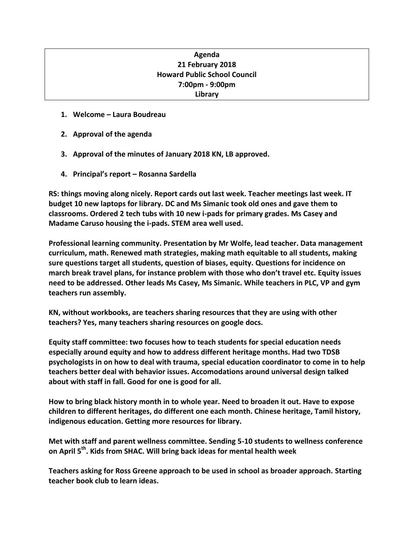# **Agenda 21 February 2018 Howard Public School Council 7:00pm - 9:00pm Library**

- **1. Welcome – Laura Boudreau**
- **2. Approval of the agenda**
- **3. Approval of the minutes of January 2018 KN, LB approved.**
- **4. Principal's report – Rosanna Sardella**

**RS: things moving along nicely. Report cards out last week. Teacher meetings last week. IT budget 10 new laptops for library. DC and Ms Simanic took old ones and gave them to classrooms. Ordered 2 tech tubs with 10 new i-pads for primary grades. Ms Casey and Madame Caruso housing the i-pads. STEM area well used.** 

**Professional learning community. Presentation by Mr Wolfe, lead teacher. Data management curriculum, math. Renewed math strategies, making math equitable to all students, making sure questions target all students, question of biases, equity. Questions for incidence on march break travel plans, for instance problem with those who don't travel etc. Equity issues need to be addressed. Other leads Ms Casey, Ms Simanic. While teachers in PLC, VP and gym teachers run assembly.**

**KN, without workbooks, are teachers sharing resources that they are using with other teachers? Yes, many teachers sharing resources on google docs.** 

**Equity staff committee: two focuses how to teach students for special education needs especially around equity and how to address different heritage months. Had two TDSB psychologists in on how to deal with trauma, special education coordinator to come in to help teachers better deal with behavior issues. Accomodations around universal design talked about with staff in fall. Good for one is good for all.**

**How to bring black history month in to whole year. Need to broaden it out. Have to expose children to different heritages, do different one each month. Chinese heritage, Tamil history, indigenous education. Getting more resources for library.**

**Met with staff and parent wellness committee. Sending 5-10 students to wellness conference on April 5th. Kids from SHAC. Will bring back ideas for mental health week**

**Teachers asking for Ross Greene approach to be used in school as broader approach. Starting teacher book club to learn ideas.**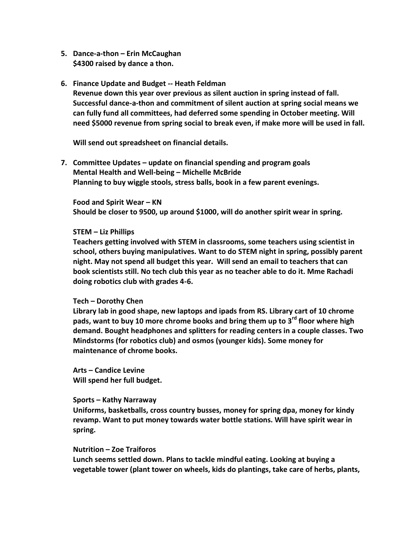- **5. Dance-a-thon – Erin McCaughan \$4300 raised by dance a thon.**
- **6. Finance Update and Budget -- Heath Feldman Revenue down this year over previous as silent auction in spring instead of fall. Successful dance-a-thon and commitment of silent auction at spring social means we can fully fund all committees, had deferred some spending in October meeting. Will need \$5000 revenue from spring social to break even, if make more will be used in fall.**

**Will send out spreadsheet on financial details.**

**7. Committee Updates – update on financial spending and program goals Mental Health and Well-being – Michelle McBride Planning to buy wiggle stools, stress balls, book in a few parent evenings.** 

**Food and Spirit Wear – KN Should be closer to 9500, up around \$1000, will do another spirit wear in spring.** 

## **STEM – Liz Phillips**

**Teachers getting involved with STEM in classrooms, some teachers using scientist in school, others buying manipulatives. Want to do STEM night in spring, possibly parent night. May not spend all budget this year. Will send an email to teachers that can book scientists still. No tech club this year as no teacher able to do it. Mme Rachadi doing robotics club with grades 4-6.**

#### **Tech – Dorothy Chen**

**Library lab in good shape, new laptops and ipads from RS. Library cart of 10 chrome pads, want to buy 10 more chrome books and bring them up to 3rd floor where high demand. Bought headphones and splitters for reading centers in a couple classes. Two Mindstorms (for robotics club) and osmos (younger kids). Some money for maintenance of chrome books.** 

**Arts – Candice Levine Will spend her full budget.** 

#### **Sports – Kathy Narraway**

**Uniforms, basketballs, cross country busses, money for spring dpa, money for kindy revamp. Want to put money towards water bottle stations. Will have spirit wear in spring.** 

### **Nutrition – Zoe Traiforos**

**Lunch seems settled down. Plans to tackle mindful eating. Looking at buying a vegetable tower (plant tower on wheels, kids do plantings, take care of herbs, plants,**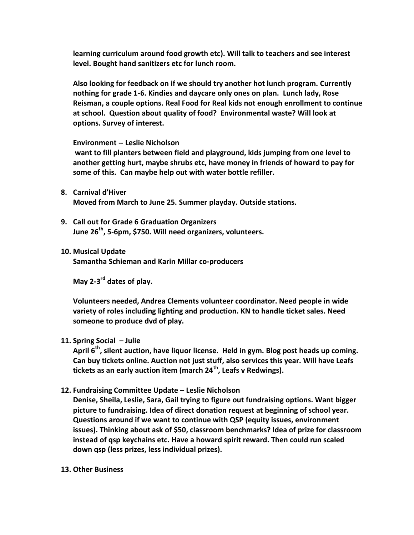**learning curriculum around food growth etc). Will talk to teachers and see interest level. Bought hand sanitizers etc for lunch room.** 

**Also looking for feedback on if we should try another hot lunch program. Currently nothing for grade 1-6. Kindies and daycare only ones on plan. Lunch lady, Rose Reisman, a couple options. Real Food for Real kids not enough enrollment to continue at school. Question about quality of food? Environmental waste? Will look at options. Survey of interest.** 

**Environment -- Leslie Nicholson**

**want to fill planters between field and playground, kids jumping from one level to another getting hurt, maybe shrubs etc, have money in friends of howard to pay for some of this. Can maybe help out with water bottle refiller.**

- **8. Carnival d'Hiver Moved from March to June 25. Summer playday. Outside stations.**
- **9. Call out for Grade 6 Graduation Organizers June 26th, 5-6pm, \$750. Will need organizers, volunteers.**
- **10. Musical Update**

**Samantha Schieman and Karin Millar co-producers**

**May 2-3 rd dates of play.**

**Volunteers needed, Andrea Clements volunteer coordinator. Need people in wide variety of roles including lighting and production. KN to handle ticket sales. Need someone to produce dvd of play.** 

**11. Spring Social – Julie** 

**April 6th, silent auction, have liquor license. Held in gym. Blog post heads up coming. Can buy tickets online. Auction not just stuff, also services this year. Will have Leafs tickets as an early auction item (march 24th, Leafs v Redwings).** 

**12. Fundraising Committee Update – Leslie Nicholson**

**Denise, Sheila, Leslie, Sara, Gail trying to figure out fundraising options. Want bigger picture to fundraising. Idea of direct donation request at beginning of school year. Questions around if we want to continue with QSP (equity issues, environment issues). Thinking about ask of \$50, classroom benchmarks? Idea of prize for classroom instead of qsp keychains etc. Have a howard spirit reward. Then could run scaled down qsp (less prizes, less individual prizes).** 

**13. Other Business**